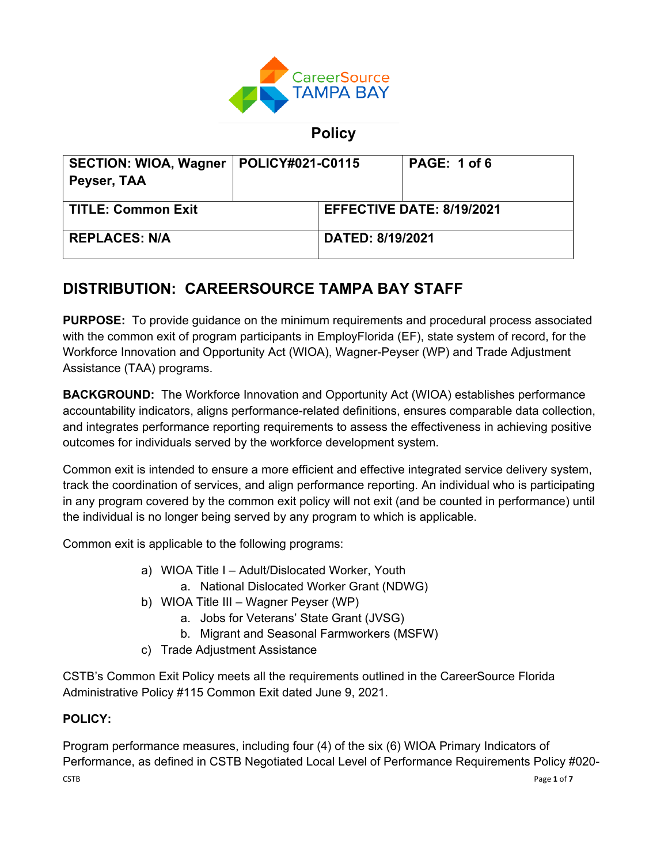

**Policy**

| <b>SECTION: WIOA, Wagner</b><br>Peyser, TAA | <b>POLICY#021-C0115</b> |                                  | PAGE: 1 of 6 |
|---------------------------------------------|-------------------------|----------------------------------|--------------|
| <b>TITLE: Common Exit</b>                   |                         | <b>EFFECTIVE DATE: 8/19/2021</b> |              |
| <b>REPLACES: N/A</b>                        |                         | <b>DATED: 8/19/2021</b>          |              |

# **DISTRIBUTION: CAREERSOURCE TAMPA BAY STAFF**

**PURPOSE:** To provide guidance on the minimum requirements and procedural process associated with the common exit of program participants in EmployFlorida (EF), state system of record, for the Workforce Innovation and Opportunity Act (WIOA), Wagner-Peyser (WP) and Trade Adjustment Assistance (TAA) programs.

**BACKGROUND:** The Workforce Innovation and Opportunity Act (WIOA) establishes performance accountability indicators, aligns performance-related definitions, ensures comparable data collection, and integrates performance reporting requirements to assess the effectiveness in achieving positive outcomes for individuals served by the workforce development system.

Common exit is intended to ensure a more efficient and effective integrated service delivery system, track the coordination of services, and align performance reporting. An individual who is participating in any program covered by the common exit policy will not exit (and be counted in performance) until the individual is no longer being served by any program to which is applicable.

Common exit is applicable to the following programs:

- a) WIOA Title I Adult/Dislocated Worker, Youth
	- a. National Dislocated Worker Grant (NDWG)
- b) WIOA Title III Wagner Peyser (WP)
	- a. Jobs for Veterans' State Grant (JVSG)
	- b. Migrant and Seasonal Farmworkers (MSFW)
- c) Trade Adjustment Assistance

CSTB's Common Exit Policy meets all the requirements outlined in the CareerSource Florida Administrative Policy #115 Common Exit dated June 9, 2021.

## **POLICY:**

 $\blacksquare$   $\blacksquare$   $\blacksquare$   $\blacksquare$   $\blacksquare$   $\blacksquare$   $\blacksquare$   $\blacksquare$   $\blacksquare$   $\blacksquare$   $\blacksquare$   $\blacksquare$   $\blacksquare$   $\blacksquare$   $\blacksquare$   $\blacksquare$   $\blacksquare$   $\blacksquare$   $\blacksquare$   $\blacksquare$   $\blacksquare$   $\blacksquare$   $\blacksquare$   $\blacksquare$   $\blacksquare$   $\blacksquare$   $\blacksquare$   $\blacksquare$   $\blacksquare$   $\blacksquare$   $\blacksquare$   $\blacks$ Program performance measures, including four (4) of the six (6) WIOA Primary Indicators of Performance, as defined in CSTB Negotiated Local Level of Performance Requirements Policy #020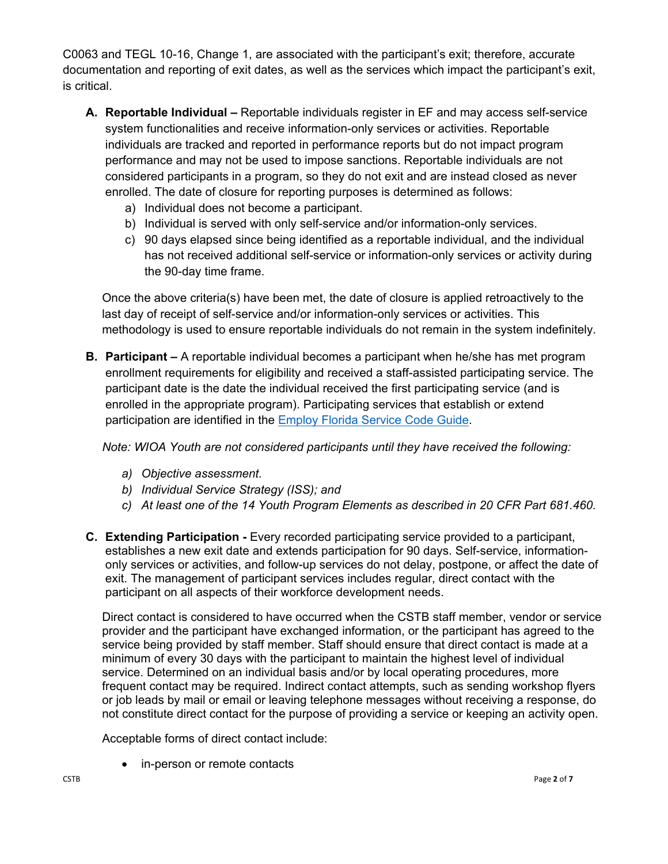C0063 and TEGL 10-16, Change 1, are associated with the participant's exit; therefore, accurate documentation and reporting of exit dates, as well as the services which impact the participant's exit, is critical.

- **A. Reportable Individual –** Reportable individuals register in EF and may access self-service system functionalities and receive information-only services or activities. Reportable individuals are tracked and reported in performance reports but do not impact program performance and may not be used to impose sanctions. Reportable individuals are not considered participants in a program, so they do not exit and are instead closed as never enrolled. The date of closure for reporting purposes is determined as follows:
	- a) Individual does not become a participant.
	- b) Individual is served with only self-service and/or information-only services.
	- c) 90 days elapsed since being identified as a reportable individual, and the individual has not received additional self-service or information-only services or activity during the 90-day time frame.

Once the above criteria(s) have been met, the date of closure is applied retroactively to the last day of receipt of self-service and/or information-only services or activities. This methodology is used to ensure reportable individuals do not remain in the system indefinitely.

**B. Participant –** A reportable individual becomes a participant when he/she has met program enrollment requirements for eligibility and received a staff-assisted participating service. The participant date is the date the individual received the first participating service (and is enrolled in the appropriate program). Participating services that establish or extend participation are identified in the **Employ Florida Service Code Guide**.

*Note: WIOA Youth are not considered participants until they have received the following:*

- *a) Objective assessment.*
- *b) Individual Service Strategy (ISS); and*
- *c) At least one of the 14 Youth Program Elements as described in 20 CFR Part 681.460.*
- **C. Extending Participation** Every recorded participating service provided to a participant, establishes a new exit date and extends participation for 90 days. Self-service, informationonly services or activities, and follow-up services do not delay, postpone, or affect the date of exit. The management of participant services includes regular, direct contact with the participant on all aspects of their workforce development needs.

Direct contact is considered to have occurred when the CSTB staff member, vendor or service provider and the participant have exchanged information, or the participant has agreed to the service being provided by staff member. Staff should ensure that direct contact is made at a minimum of every 30 days with the participant to maintain the highest level of individual service. Determined on an individual basis and/or by local operating procedures, more frequent contact may be required. Indirect contact attempts, such as sending workshop flyers or job leads by mail or email or leaving telephone messages without receiving a response, do not constitute direct contact for the purpose of providing a service or keeping an activity open.

Acceptable forms of direct contact include:

• in-person or remote contacts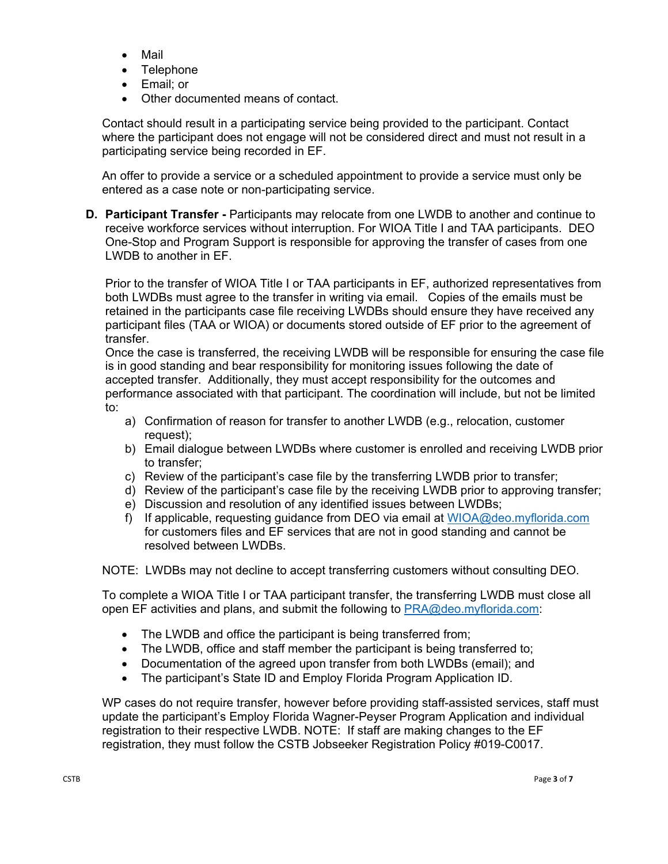- Mail
- Telephone
- Email; or
- Other documented means of contact.

Contact should result in a participating service being provided to the participant. Contact where the participant does not engage will not be considered direct and must not result in a participating service being recorded in EF.

An offer to provide a service or a scheduled appointment to provide a service must only be entered as a case note or non-participating service.

**D.** Participant Transfer - Participants may relocate from one LWDB to another and continue to receive workforce services without interruption. For WIOA Title I and TAA participants. DEO One-Stop and Program Support is responsible for approving the transfer of cases from one LWDB to another in EF.

Prior to the transfer of WIOA Title I or TAA participants in EF, authorized representatives from both LWDBs must agree to the transfer in writing via email. Copies of the emails must be retained in the participants case file receiving LWDBs should ensure they have received any participant files (TAA or WIOA) or documents stored outside of EF prior to the agreement of transfer.

Once the case is transferred, the receiving LWDB will be responsible for ensuring the case file is in good standing and bear responsibility for monitoring issues following the date of accepted transfer. Additionally, they must accept responsibility for the outcomes and performance associated with that participant. The coordination will include, but not be limited to:

- a) Confirmation of reason for transfer to another LWDB (e.g., relocation, customer request);
- b) Email dialogue between LWDBs where customer is enrolled and receiving LWDB prior to transfer;
- c) Review of the participant's case file by the transferring LWDB prior to transfer;
- d) Review of the participant's case file by the receiving LWDB prior to approving transfer;
- e) Discussion and resolution of any identified issues between LWDBs;
- f) If applicable, requesting guidance from DEO via email at WIOA@deo.myflorida.com for customers files and EF services that are not in good standing and cannot be resolved between LWDBs.

NOTE: LWDBs may not decline to accept transferring customers without consulting DEO.

To complete a WIOA Title I or TAA participant transfer, the transferring LWDB must close all open EF activities and plans, and submit the following to PRA@deo.myflorida.com:

- The LWDB and office the participant is being transferred from;
- The LWDB, office and staff member the participant is being transferred to;
- Documentation of the agreed upon transfer from both LWDBs (email); and
- The participant's State ID and Employ Florida Program Application ID.

WP cases do not require transfer, however before providing staff-assisted services, staff must update the participant's Employ Florida Wagner-Peyser Program Application and individual registration to their respective LWDB. NOTE: If staff are making changes to the EF registration, they must follow the CSTB Jobseeker Registration Policy #019-C0017.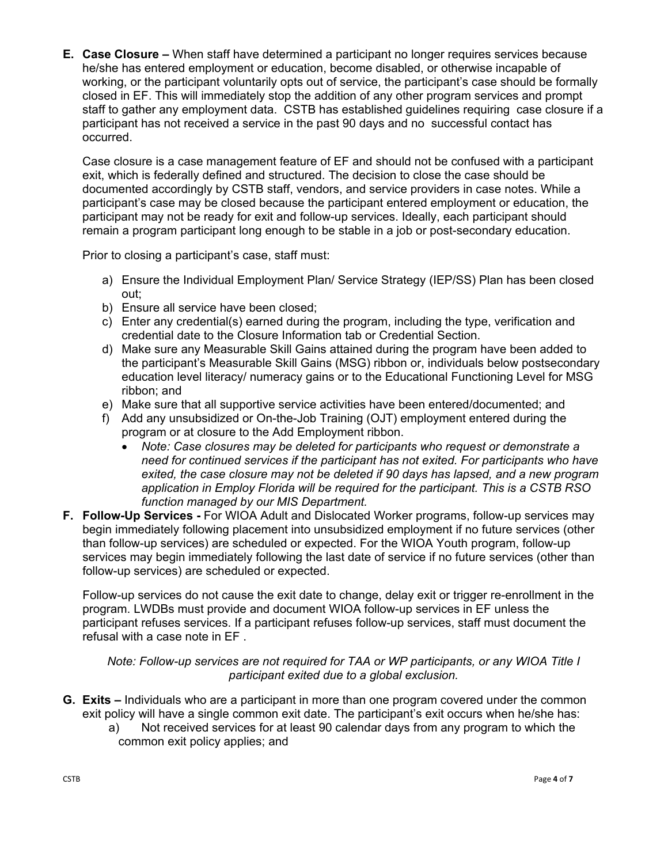**E. Case Closure –** When staff have determined a participant no longer requires services because he/she has entered employment or education, become disabled, or otherwise incapable of working, or the participant voluntarily opts out of service, the participant's case should be formally closed in EF. This will immediately stop the addition of any other program services and prompt staff to gather any employment data. CSTB has established guidelines requiring case closure if a participant has not received a service in the past 90 days and no successful contact has occurred.

Case closure is a case management feature of EF and should not be confused with a participant exit, which is federally defined and structured. The decision to close the case should be documented accordingly by CSTB staff, vendors, and service providers in case notes. While a participant's case may be closed because the participant entered employment or education, the participant may not be ready for exit and follow-up services. Ideally, each participant should remain a program participant long enough to be stable in a job or post-secondary education.

Prior to closing a participant's case, staff must:

- a) Ensure the Individual Employment Plan/ Service Strategy (IEP/SS) Plan has been closed out;
- b) Ensure all service have been closed;
- c) Enter any credential(s) earned during the program, including the type, verification and credential date to the Closure Information tab or Credential Section.
- d) Make sure any Measurable Skill Gains attained during the program have been added to the participant's Measurable Skill Gains (MSG) ribbon or, individuals below postsecondary education level literacy/ numeracy gains or to the Educational Functioning Level for MSG ribbon; and
- e) Make sure that all supportive service activities have been entered/documented; and
- f) Add any unsubsidized or On-the-Job Training (OJT) employment entered during the program or at closure to the Add Employment ribbon.
	- *Note: Case closures may be deleted for participants who request or demonstrate a need for continued services if the participant has not exited. For participants who have exited, the case closure may not be deleted if 90 days has lapsed, and a new program application in Employ Florida will be required for the participant. This is a CSTB RSO function managed by our MIS Department.*
- **F. Follow-Up Services -** For WIOA Adult and Dislocated Worker programs, follow-up services may begin immediately following placement into unsubsidized employment if no future services (other than follow-up services) are scheduled or expected. For the WIOA Youth program, follow-up services may begin immediately following the last date of service if no future services (other than follow-up services) are scheduled or expected.

Follow-up services do not cause the exit date to change, delay exit or trigger re-enrollment in the program. LWDBs must provide and document WIOA follow-up services in EF unless the participant refuses services. If a participant refuses follow-up services, staff must document the refusal with a case note in EF .

*Note: Follow-up services are not required for TAA or WP participants, or any WIOA Title I participant exited due to a global exclusion.*

- **G. Exits –** Individuals who are a participant in more than one program covered under the common exit policy will have a single common exit date. The participant's exit occurs when he/she has:
	- a) Not received services for at least 90 calendar days from any program to which the common exit policy applies; and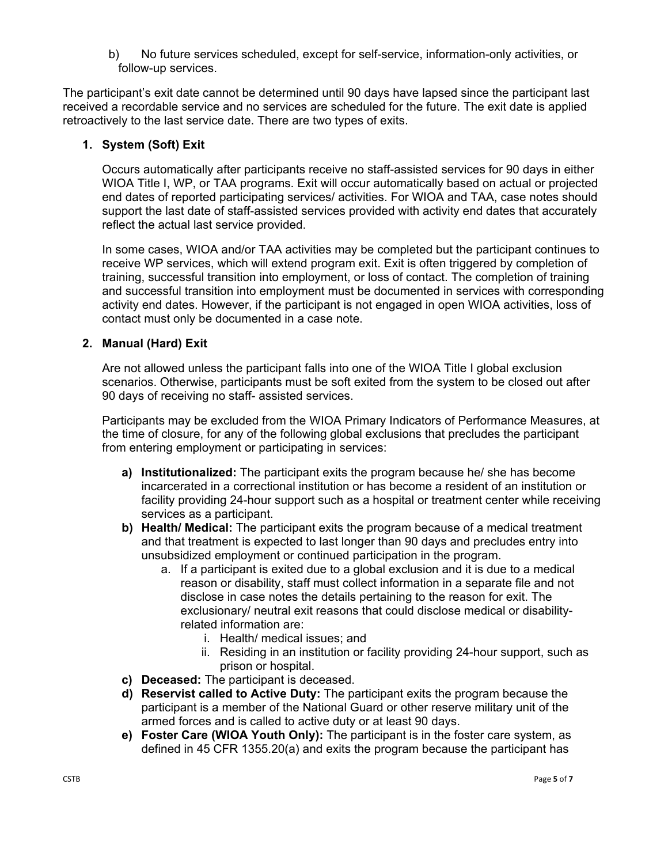b) No future services scheduled, except for self-service, information-only activities, or follow-up services.

The participant's exit date cannot be determined until 90 days have lapsed since the participant last received a recordable service and no services are scheduled for the future. The exit date is applied retroactively to the last service date. There are two types of exits.

### **1. System (Soft) Exit**

Occurs automatically after participants receive no staff-assisted services for 90 days in either WIOA Title I, WP, or TAA programs. Exit will occur automatically based on actual or projected end dates of reported participating services/ activities. For WIOA and TAA, case notes should support the last date of staff-assisted services provided with activity end dates that accurately reflect the actual last service provided.

In some cases, WIOA and/or TAA activities may be completed but the participant continues to receive WP services, which will extend program exit. Exit is often triggered by completion of training, successful transition into employment, or loss of contact. The completion of training and successful transition into employment must be documented in services with corresponding activity end dates. However, if the participant is not engaged in open WIOA activities, loss of contact must only be documented in a case note.

#### **2. Manual (Hard) Exit**

Are not allowed unless the participant falls into one of the WIOA Title I global exclusion scenarios. Otherwise, participants must be soft exited from the system to be closed out after 90 days of receiving no staff- assisted services.

Participants may be excluded from the WIOA Primary Indicators of Performance Measures, at the time of closure, for any of the following global exclusions that precludes the participant from entering employment or participating in services:

- **a) Institutionalized:** The participant exits the program because he/ she has become incarcerated in a correctional institution or has become a resident of an institution or facility providing 24-hour support such as a hospital or treatment center while receiving services as a participant.
- **b) Health/ Medical:** The participant exits the program because of a medical treatment and that treatment is expected to last longer than 90 days and precludes entry into unsubsidized employment or continued participation in the program.
	- a. If a participant is exited due to a global exclusion and it is due to a medical reason or disability, staff must collect information in a separate file and not disclose in case notes the details pertaining to the reason for exit. The exclusionary/ neutral exit reasons that could disclose medical or disabilityrelated information are:
		- i. Health/ medical issues; and
		- ii. Residing in an institution or facility providing 24-hour support, such as prison or hospital.
- **c) Deceased:** The participant is deceased.
- **d) Reservist called to Active Duty:** The participant exits the program because the participant is a member of the National Guard or other reserve military unit of the armed forces and is called to active duty or at least 90 days.
- **e) Foster Care (WIOA Youth Only):** The participant is in the foster care system, as defined in 45 CFR 1355.20(a) and exits the program because the participant has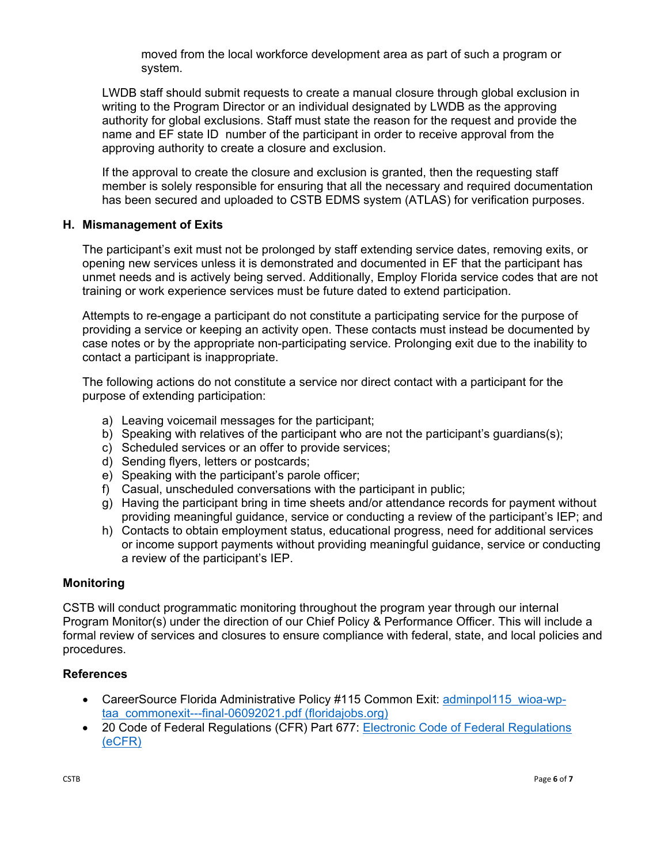moved from the local workforce development area as part of such a program or system.

LWDB staff should submit requests to create a manual closure through global exclusion in writing to the Program Director or an individual designated by LWDB as the approving authority for global exclusions. Staff must state the reason for the request and provide the name and EF state ID number of the participant in order to receive approval from the approving authority to create a closure and exclusion.

If the approval to create the closure and exclusion is granted, then the requesting staff member is solely responsible for ensuring that all the necessary and required documentation has been secured and uploaded to CSTB EDMS system (ATLAS) for verification purposes.

#### **H. Mismanagement of Exits**

The participant's exit must not be prolonged by staff extending service dates, removing exits, or opening new services unless it is demonstrated and documented in EF that the participant has unmet needs and is actively being served. Additionally, Employ Florida service codes that are not training or work experience services must be future dated to extend participation.

Attempts to re-engage a participant do not constitute a participating service for the purpose of providing a service or keeping an activity open. These contacts must instead be documented by case notes or by the appropriate non-participating service. Prolonging exit due to the inability to contact a participant is inappropriate.

The following actions do not constitute a service nor direct contact with a participant for the purpose of extending participation:

- a) Leaving voicemail messages for the participant;
- b) Speaking with relatives of the participant who are not the participant's guardians(s);
- c) Scheduled services or an offer to provide services;
- d) Sending flyers, letters or postcards;
- e) Speaking with the participant's parole officer;
- f) Casual, unscheduled conversations with the participant in public;
- g) Having the participant bring in time sheets and/or attendance records for payment without providing meaningful guidance, service or conducting a review of the participant's IEP; and
- h) Contacts to obtain employment status, educational progress, need for additional services or income support payments without providing meaningful guidance, service or conducting a review of the participant's IEP.

#### **Monitoring**

CSTB will conduct programmatic monitoring throughout the program year through our internal Program Monitor(s) under the direction of our Chief Policy & Performance Officer. This will include a formal review of services and closures to ensure compliance with federal, state, and local policies and procedures.

#### **References**

- CareerSource Florida Administrative Policy #115 Common Exit: adminpol115 wioa-wptaa\_commonexit---final-06092021.pdf (floridajobs.org)
- 20 Code of Federal Regulations (CFR) Part 677: Electronic Code of Federal Regulations (eCFR)